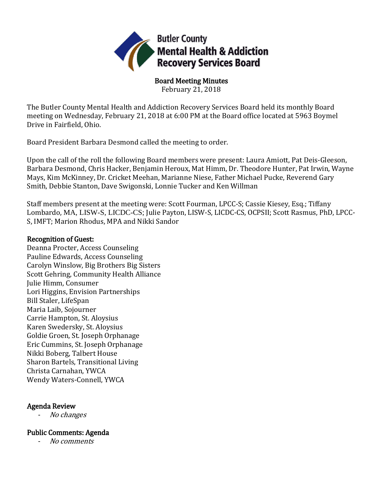

Board Meeting Minutes February 21, 2018

The Butler County Mental Health and Addiction Recovery Services Board held its monthly Board meeting on Wednesday, February 21, 2018 at 6:00 PM at the Board office located at 5963 Boymel Drive in Fairfield, Ohio.

Board President Barbara Desmond called the meeting to order.

Upon the call of the roll the following Board members were present: Laura Amiott, Pat Deis-Gleeson, Barbara Desmond, Chris Hacker, Benjamin Heroux, Mat Himm, Dr. Theodore Hunter, Pat Irwin, Wayne Mays, Kim McKinney, Dr. Cricket Meehan, Marianne Niese, Father Michael Pucke, Reverend Gary Smith, Debbie Stanton, Dave Swigonski, Lonnie Tucker and Ken Willman

Staff members present at the meeting were: Scott Fourman, LPCC-S; Cassie Kiesey, Esq.; Tiffany Lombardo, MA, LISW-S, LICDC-CS; Julie Payton, LISW-S, LICDC-CS, OCPSII; Scott Rasmus, PhD, LPCC-S, IMFT; Marion Rhodus, MPA and Nikki Sandor

### Recognition of Guest:

Deanna Procter, Access Counseling Pauline Edwards, Access Counseling Carolyn Winslow, Big Brothers Big Sisters Scott Gehring, Community Health Alliance Julie Himm, Consumer Lori Higgins, Envision Partnerships Bill Staler, LifeSpan Maria Laib, Sojourner Carrie Hampton, St. Aloysius Karen Swedersky, St. Aloysius Goldie Groen, St. Joseph Orphanage Eric Cummins, St. Joseph Orphanage Nikki Boberg, Talbert House Sharon Bartels, Transitional Living Christa Carnahan, YWCA Wendy Waters-Connell, YWCA

## Agenda Review

- No changes

## Public Comments: Agenda

- No comments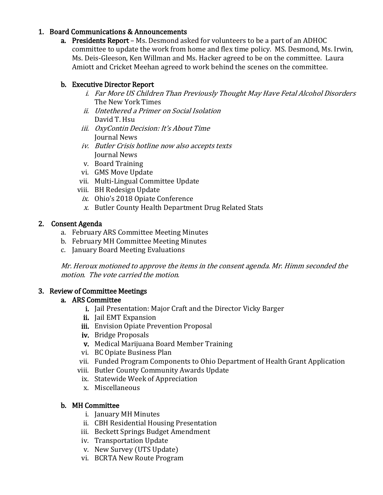## 1. Board Communications & Announcements

**a.** Presidents Report – Ms. Desmond asked for volunteers to be a part of an ADHOC committee to update the work from home and flex time policy. MS. Desmond, Ms. Irwin, Ms. Deis-Gleeson, Ken Willman and Ms. Hacker agreed to be on the committee. Laura Amiott and Cricket Meehan agreed to work behind the scenes on the committee.

# b. Executive Director Report

- i. Far More US Children Than Previously Thought May Have Fetal Alcohol Disorders The New York Times
- ii. Untethered a Primer on Social Isolation David T. Hsu
- iii. OxyContin Decision: It's About Time Journal News
- iv. Butler Crisis hotline now also accepts texts Journal News
- v. Board Training
- vi. GMS Move Update
- vii. Multi-Lingual Committee Update
- viii. BH Redesign Update
	- ix. Ohio's 2018 Opiate Conference
	- x. Butler County Health Department Drug Related Stats

# 2. Consent Agenda

- a. February ARS Committee Meeting Minutes
- b. February MH Committee Meeting Minutes
- c. January Board Meeting Evaluations

Mr. Heroux motioned to approve the items in the consent agenda. Mr. Himm seconded the motion. The vote carried the motion.

# 3. Review of Committee Meetings

## a. ARS Committee

- i. Jail Presentation: Major Craft and the Director Vicky Barger
- ii. Jail EMT Expansion
- iii. Envision Opiate Prevention Proposal
- iv. Bridge Proposals
- v. Medical Marijuana Board Member Training
- vi. BC Opiate Business Plan
- vii. Funded Program Components to Ohio Department of Health Grant Application
- viii. Butler County Community Awards Update
- ix. Statewide Week of Appreciation
- x. Miscellaneous

# b. MH Committee

- i. January MH Minutes
- ii. CBH Residential Housing Presentation
- iii. Beckett Springs Budget Amendment
- iv. Transportation Update
- v. New Survey (UTS Update)
- vi. BCRTA New Route Program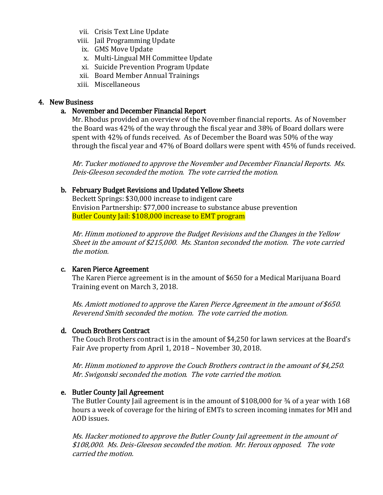- vii. Crisis Text Line Update
- viii. Jail Programming Update
	- ix. GMS Move Update
	- x. Multi-Lingual MH Committee Update
	- xi. Suicide Prevention Program Update
- xii. Board Member Annual Trainings
- xiii. Miscellaneous

#### 4. New Business

#### a. November and December Financial Report

Mr. Rhodus provided an overview of the November financial reports. As of November the Board was 42% of the way through the fiscal year and 38% of Board dollars were spent with 42% of funds received. As of December the Board was 50% of the way through the fiscal year and 47% of Board dollars were spent with 45% of funds received.

Mr. Tucker motioned to approve the November and December Financial Reports. Ms. Deis-Gleeson seconded the motion. The vote carried the motion.

## b. February Budget Revisions and Updated Yellow Sheets

Beckett Springs: \$30,000 increase to indigent care Envision Partnership: \$77,000 increase to substance abuse prevention Butler County Jail: \$108,000 increase to EMT program

Mr. Himm motioned to approve the Budget Revisions and the Changes in the Yellow Sheet in the amount of \$215,000. Ms. Stanton seconded the motion. The vote carried the motion.

#### c. Karen Pierce Agreement

The Karen Pierce agreement is in the amount of \$650 for a Medical Marijuana Board Training event on March 3, 2018.

Ms. Amiott motioned to approve the Karen Pierce Agreement in the amount of \$650. Reverend Smith seconded the motion. The vote carried the motion.

# d. Couch Brothers Contract

The Couch Brothers contract is in the amount of \$4,250 for lawn services at the Board's Fair Ave property from April 1, 2018 – November 30, 2018.

Mr. Himm motioned to approve the Couch Brothers contract in the amount of \$4,250. Mr. Swigonski seconded the motion. The vote carried the motion.

# e. Butler County Jail Agreement

The Butler County Jail agreement is in the amount of \$108,000 for 34 of a year with 168 hours a week of coverage for the hiring of EMTs to screen incoming inmates for MH and AOD issues.

Ms. Hacker motioned to approve the Butler County Jail agreement in the amount of \$108,000. Ms. Deis-Gleeson seconded the motion. Mr. Heroux opposed. The vote carried the motion.